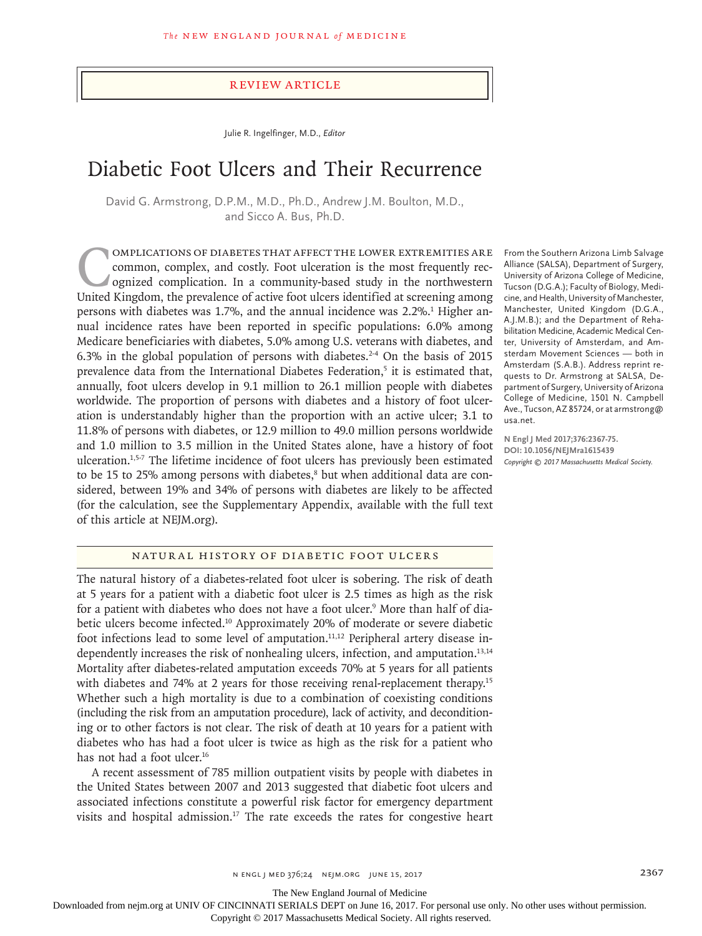#### Review Article

Julie R. Ingelfinger, M.D., *Editor*

# Diabetic Foot Ulcers and Their Recurrence

David G. Armstrong, D.P.M., M.D., Ph.D., Andrew J.M. Boulton, M.D., and Sicco A. Bus, Ph.D.

Complications of diabetes that affect the lower extremities are common, complex, and costly. Foot ulceration is the most frequently recognized complication. In a community-based study in the northwestern United Kingdom, the prevalence of active foot ulcers identified at screening among persons with diabetes was 1.7%, and the annual incidence was 2.2%.<sup>1</sup> Higher annual incidence rates have been reported in specific populations: 6.0% among Medicare beneficiaries with diabetes, 5.0% among U.S. veterans with diabetes, and 6.3% in the global population of persons with diabetes.<sup>2-4</sup> On the basis of 2015 prevalence data from the International Diabetes Federation,<sup>5</sup> it is estimated that, annually, foot ulcers develop in 9.1 million to 26.1 million people with diabetes worldwide. The proportion of persons with diabetes and a history of foot ulceration is understandably higher than the proportion with an active ulcer; 3.1 to 11.8% of persons with diabetes, or 12.9 million to 49.0 million persons worldwide and 1.0 million to 3.5 million in the United States alone, have a history of foot ulceration.1,5-7 The lifetime incidence of foot ulcers has previously been estimated to be 15 to 25% among persons with diabetes,<sup>8</sup> but when additional data are considered, between 19% and 34% of persons with diabetes are likely to be affected (for the calculation, see the Supplementary Appendix, available with the full text of this article at NEJM.org).

From the Southern Arizona Limb Salvage Alliance (SALSA), Department of Surgery, University of Arizona College of Medicine, Tucson (D.G.A.); Faculty of Biology, Medicine, and Health, University of Manchester, Manchester, United Kingdom (D.G.A., A.J.M.B.); and the Department of Rehabilitation Medicine, Academic Medical Center, University of Amsterdam, and Amsterdam Movement Sciences — both in Amsterdam (S.A.B.). Address reprint requests to Dr. Armstrong at SALSA, Department of Surgery, University of Arizona College of Medicine, 1501 N. Campbell Ave., Tucson, AZ 85724, or at armstrong@ usa.net.

**N Engl J Med 2017;376:2367-75. DOI: 10.1056/NEJMra1615439** *Copyright © 2017 Massachusetts Medical Society.*

# Natural History of Diabetic Foot Ulcers

The natural history of a diabetes-related foot ulcer is sobering. The risk of death at 5 years for a patient with a diabetic foot ulcer is 2.5 times as high as the risk for a patient with diabetes who does not have a foot ulcer.<sup>9</sup> More than half of diabetic ulcers become infected.<sup>10</sup> Approximately 20% of moderate or severe diabetic foot infections lead to some level of amputation.<sup>11,12</sup> Peripheral artery disease independently increases the risk of nonhealing ulcers, infection, and amputation.13,14 Mortality after diabetes-related amputation exceeds 70% at 5 years for all patients with diabetes and 74% at 2 years for those receiving renal-replacement therapy.<sup>15</sup> Whether such a high mortality is due to a combination of coexisting conditions (including the risk from an amputation procedure), lack of activity, and deconditioning or to other factors is not clear. The risk of death at 10 years for a patient with diabetes who has had a foot ulcer is twice as high as the risk for a patient who has not had a foot ulcer.<sup>16</sup>

A recent assessment of 785 million outpatient visits by people with diabetes in the United States between 2007 and 2013 suggested that diabetic foot ulcers and associated infections constitute a powerful risk factor for emergency department visits and hospital admission.<sup>17</sup> The rate exceeds the rates for congestive heart

The New England Journal of Medicine

Downloaded from nejm.org at UNIV OF CINCINNATI SERIALS DEPT on June 16, 2017. For personal use only. No other uses without permission.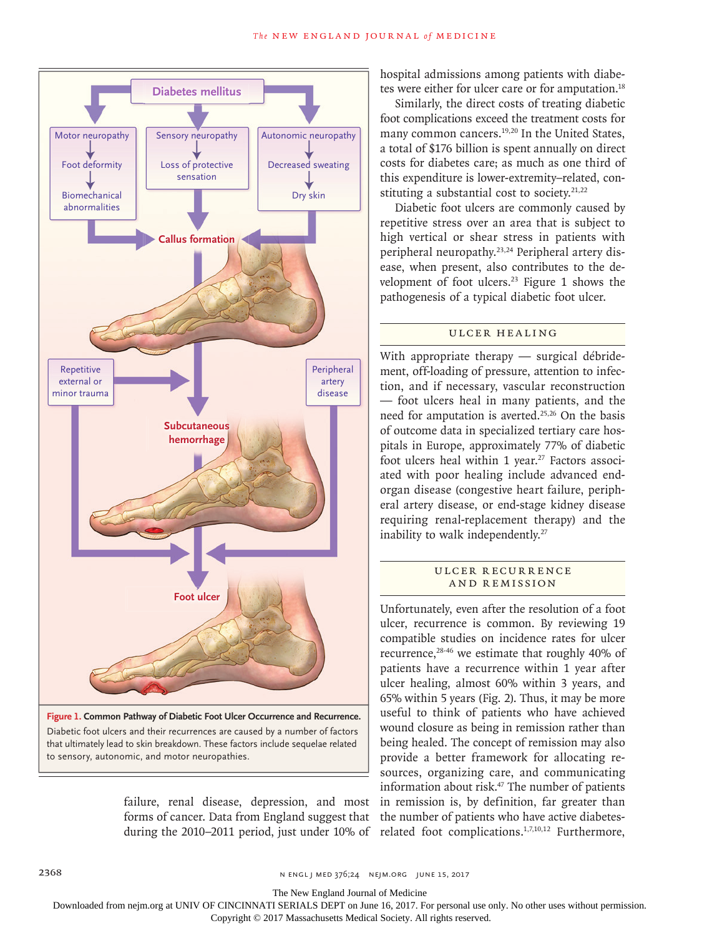

failure, renal disease, depression, and most forms of cancer. Data from England suggest that during the 2010–2011 period, just under 10% of

hospital admissions among patients with diabetes were either for ulcer care or for amputation.<sup>18</sup>

Similarly, the direct costs of treating diabetic foot complications exceed the treatment costs for many common cancers.<sup>19,20</sup> In the United States, a total of \$176 billion is spent annually on direct costs for diabetes care; as much as one third of this expenditure is lower-extremity–related, constituting a substantial cost to society. $21,22$ 

Diabetic foot ulcers are commonly caused by repetitive stress over an area that is subject to high vertical or shear stress in patients with peripheral neuropathy.23,24 Peripheral artery disease, when present, also contributes to the development of foot ulcers.23 Figure 1 shows the pathogenesis of a typical diabetic foot ulcer.

## Ulcer Healing

With appropriate therapy — surgical débridement, off-loading of pressure, attention to infection, and if necessary, vascular reconstruction — foot ulcers heal in many patients, and the need for amputation is averted.<sup>25,26</sup> On the basis of outcome data in specialized tertiary care hospitals in Europe, approximately 77% of diabetic foot ulcers heal within 1 year.<sup>27</sup> Factors associated with poor healing include advanced endorgan disease (congestive heart failure, peripheral artery disease, or end-stage kidney disease requiring renal-replacement therapy) and the inability to walk independently.<sup>27</sup>

# ULCER RECURRENCE and Remission

Unfortunately, even after the resolution of a foot ulcer, recurrence is common. By reviewing 19 compatible studies on incidence rates for ulcer recurrence,28-46 we estimate that roughly 40% of patients have a recurrence within 1 year after ulcer healing, almost 60% within 3 years, and 65% within 5 years (Fig. 2). Thus, it may be more useful to think of patients who have achieved wound closure as being in remission rather than being healed. The concept of remission may also provide a better framework for allocating resources, organizing care, and communicating information about risk.<sup>47</sup> The number of patients in remission is, by definition, far greater than the number of patients who have active diabetesrelated foot complications.1,7,10,12 Furthermore,

The New England Journal of Medicine

Downloaded from nejm.org at UNIV OF CINCINNATI SERIALS DEPT on June 16, 2017. For personal use only. No other uses without permission.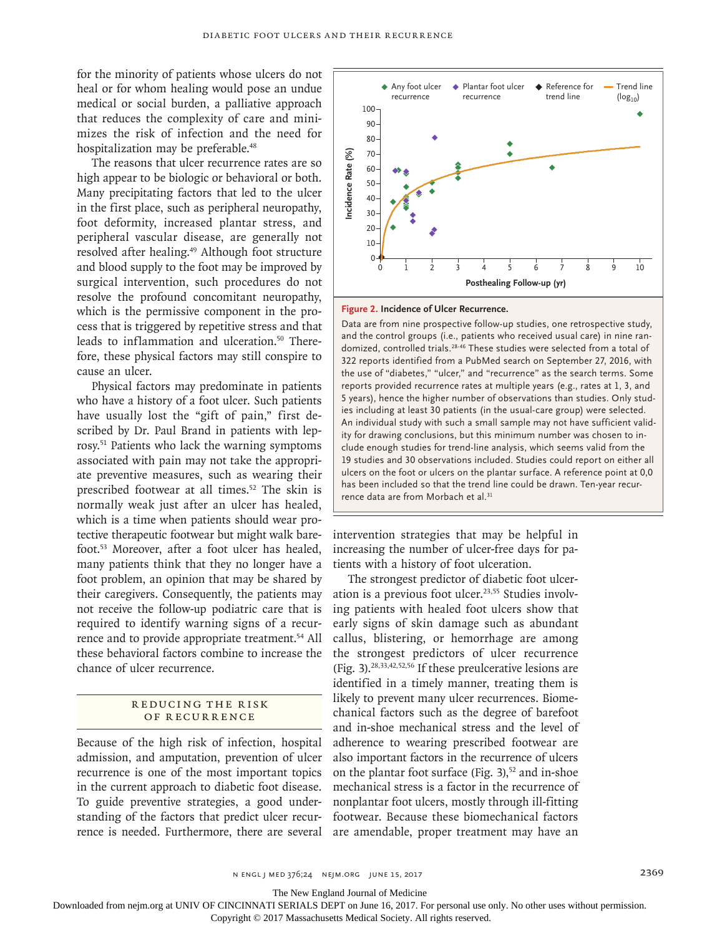for the minority of patients whose ulcers do not heal or for whom healing would pose an undue medical or social burden, a palliative approach that reduces the complexity of care and minimizes the risk of infection and the need for hospitalization may be preferable.<sup>48</sup>

The reasons that ulcer recurrence rates are so high appear to be biologic or behavioral or both. Many precipitating factors that led to the ulcer in the first place, such as peripheral neuropathy, foot deformity, increased plantar stress, and peripheral vascular disease, are generally not resolved after healing.<sup>49</sup> Although foot structure and blood supply to the foot may be improved by surgical intervention, such procedures do not resolve the profound concomitant neuropathy, which is the permissive component in the process that is triggered by repetitive stress and that leads to inflammation and ulceration.<sup>50</sup> Therefore, these physical factors may still conspire to cause an ulcer.

Physical factors may predominate in patients who have a history of a foot ulcer. Such patients have usually lost the "gift of pain," first described by Dr. Paul Brand in patients with leprosy.51 Patients who lack the warning symptoms associated with pain may not take the appropriate preventive measures, such as wearing their prescribed footwear at all times.52 The skin is normally weak just after an ulcer has healed, which is a time when patients should wear protective therapeutic footwear but might walk barefoot.53 Moreover, after a foot ulcer has healed, many patients think that they no longer have a foot problem, an opinion that may be shared by their caregivers. Consequently, the patients may not receive the follow-up podiatric care that is required to identify warning signs of a recurrence and to provide appropriate treatment.<sup>54</sup> All these behavioral factors combine to increase the chance of ulcer recurrence.

## R educing the R isk of Recurrence

Because of the high risk of infection, hospital admission, and amputation, prevention of ulcer recurrence is one of the most important topics in the current approach to diabetic foot disease. To guide preventive strategies, a good understanding of the factors that predict ulcer recurrence is needed. Furthermore, there are several



#### **Figure 2. Incidence of Ulcer Recurrence.**

Data are from nine prospective follow-up studies, one retrospective study, and the control groups (i.e., patients who received usual care) in nine randomized, controlled trials.<sup>28-46</sup> These studies were selected from a total of 322 reports identified from a PubMed search on September 27, 2016, with the use of "diabetes," "ulcer," and "recurrence" as the search terms. Some reports provided recurrence rates at multiple years (e.g., rates at 1, 3, and 5 years), hence the higher number of observations than studies. Only studies including at least 30 patients (in the usual-care group) were selected. An individual study with such a small sample may not have sufficient validity for drawing conclusions, but this minimum number was chosen to include enough studies for trend-line analysis, which seems valid from the 19 studies and 30 observations included. Studies could report on either all ulcers on the foot or ulcers on the plantar surface. A reference point at 0,0 has been included so that the trend line could be drawn. Ten-year recurrence data are from the footness been included so that been included and the control groups (i.e., patients ( $\frac{234}{10}$  and the control groups (i.e., patients domized, controlled trials.<sup>28.46</sup> These of "diabetes," "ulce

intervention strategies that may be helpful in increasing the number of ulcer-free days for patients with a history of foot ulceration.

The strongest predictor of diabetic foot ulceration is a previous foot ulcer.<sup>23,55</sup> Studies involving patients with healed foot ulcers show that early signs of skin damage such as abundant callus, blistering, or hemorrhage are among the strongest predictors of ulcer recurrence (Fig. 3).28,33,42,52,56 If these preulcerative lesions are identified in a timely manner, treating them is likely to prevent many ulcer recurrences. Biomechanical factors such as the degree of barefoot and in-shoe mechanical stress and the level of adherence to wearing prescribed footwear are also important factors in the recurrence of ulcers on the plantar foot surface (Fig. 3), $52$  and in-shoe mechanical stress is a factor in the recurrence of nonplantar foot ulcers, mostly through ill-fitting footwear. Because these biomechanical factors are amendable, proper treatment may have an

The New England Journal of Medicine

Downloaded from nejm.org at UNIV OF CINCINNATI SERIALS DEPT on June 16, 2017. For personal use only. No other uses without permission.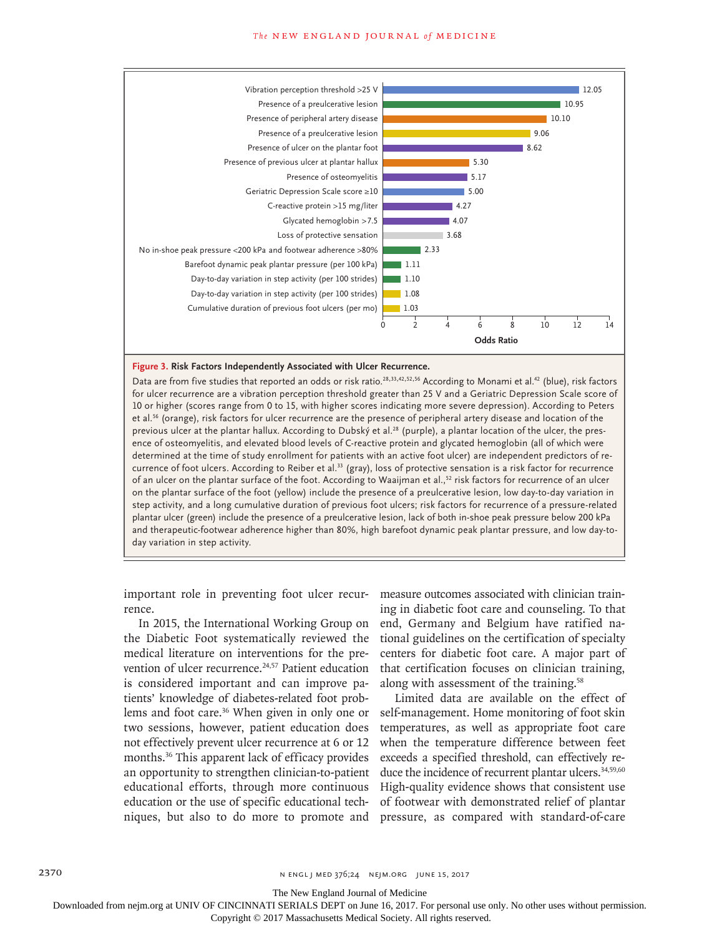#### **The NEW ENGLAND JOURNAL of MEDICINE**



#### **Figure 3. Risk Factors Independently Associated with Ulcer Recurrence.**

Data are from five studies that reported an odds or risk ratio.28,33,42,52,56 According to Monami et al.42 (blue), risk factors for ulcer recurrence are a vibration perception threshold greater than 25 V and a Geriatric Depression Scale score of 10 or higher (scores range from 0 to 15, with higher scores indicating more severe depression). According to Peters et al.56 (orange), risk factors for ulcer recurrence are the presence of peripheral artery disease and location of the previous ulcer at the plantar hallux. According to Dubský et al.<sup>28</sup> (purple), a plantar location of the ulcer, the presence of osteomyelitis, and elevated blood levels of C-reactive protein and glycated hemoglobin (all of which were determined at the time of study enrollment for patients with an active foot ulcer) are independent predictors of recurrence of foot ulcers. According to Reiber et al.<sup>33</sup> (gray), loss of protective sensation is a risk factor for recurrence of an ulcer on the plantar surface of the foot. According to Waaijman et al.,<sup>52</sup> risk factors for recurrence of an ulcer on the plantar surface of the foot (yellow) include the presence of a preulcerative lesion, low day-to-day variation in step activity, and a long cumulative duration of previous foot ulcers; risk factors for recurrence of a pressure-related plantar ulcer (green) include the presence of a preulcerative lesion, lack of both in-shoe peak pressure below 200 kPa and therapeutic-footwear adherence higher than 80%, high barefoot dynamic peak plantar pressure, and low day-today variation in step activity.

important role in preventing foot ulcer recurrence.

In 2015, the International Working Group on the Diabetic Foot systematically reviewed the medical literature on interventions for the prevention of ulcer recurrence.<sup>24,57</sup> Patient education is considered important and can improve patients' knowledge of diabetes-related foot problems and foot care.36 When given in only one or two sessions, however, patient education does not effectively prevent ulcer recurrence at 6 or 12 months.36 This apparent lack of efficacy provides an opportunity to strengthen clinician-to-patient educational efforts, through more continuous education or the use of specific educational techniques, but also to do more to promote and

measure outcomes associated with clinician training in diabetic foot care and counseling. To that end, Germany and Belgium have ratified national guidelines on the certification of specialty centers for diabetic foot care. A major part of that certification focuses on clinician training, along with assessment of the training.<sup>58</sup>

Limited data are available on the effect of self-management. Home monitoring of foot skin temperatures, as well as appropriate foot care when the temperature difference between feet exceeds a specified threshold, can effectively reduce the incidence of recurrent plantar ulcers.<sup>34,59,60</sup> High-quality evidence shows that consistent use of footwear with demonstrated relief of plantar pressure, as compared with standard-of-care

The New England Journal of Medicine

Downloaded from nejm.org at UNIV OF CINCINNATI SERIALS DEPT on June 16, 2017. For personal use only. No other uses without permission.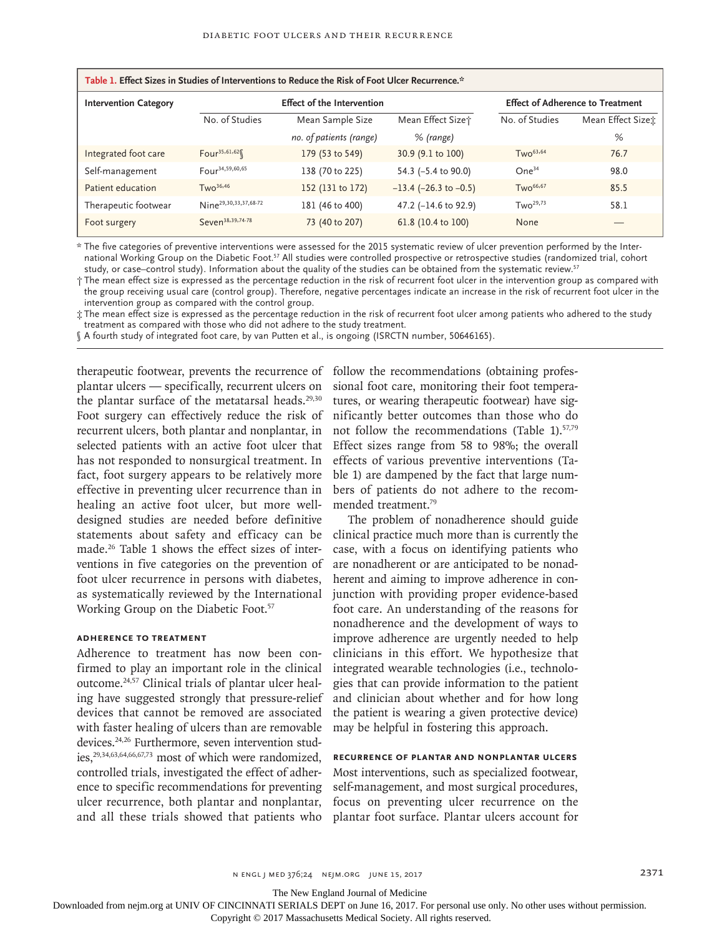| Table 1. Effect Sizes in Studies of Interventions to Reduce the Risk of Foot Ulcer Recurrence.* |                                   |                         |                               |                                         |                    |
|-------------------------------------------------------------------------------------------------|-----------------------------------|-------------------------|-------------------------------|-----------------------------------------|--------------------|
| <b>Intervention Category</b>                                                                    | <b>Effect of the Intervention</b> |                         |                               | <b>Effect of Adherence to Treatment</b> |                    |
|                                                                                                 | No. of Studies                    | Mean Sample Size        | Mean Effect Size <sup>+</sup> | No. of Studies                          | Mean Effect Sizet: |
|                                                                                                 |                                   | no. of patients (range) | % (range)                     |                                         | %                  |
| Integrated foot care                                                                            | Four <sup>35,61,62</sup>          | 179 (53 to 549)         | 30.9 (9.1 to 100)             | $Two^{63,64}$                           | 76.7               |
| Self-management                                                                                 | Four <sup>34,59,60,65</sup>       | 138 (70 to 225)         | 54.3 (-5.4 to 90.0)           | One <sup>34</sup>                       | 98.0               |
| Patient education                                                                               | TwO <sup>36,46</sup>              | 152 (131 to 172)        | $-13.4$ ( $-26.3$ to $-0.5$ ) | $TwO^{66,67}$                           | 85.5               |
| Therapeutic footwear                                                                            | Nine <sup>29,30,33,37,68-72</sup> | 181 (46 to 400)         | 47.2 (-14.6 to 92.9)          | $Two^{29,73}$                           | 58.1               |
| Foot surgery                                                                                    | Seven <sup>38,39,74-78</sup>      | 73 (40 to 207)          | 61.8 (10.4 to 100)            | None                                    |                    |

\* The five categories of preventive interventions were assessed for the 2015 systematic review of ulcer prevention performed by the International Working Group on the Diabetic Foot.57 All studies were controlled prospective or retrospective studies (randomized trial, cohort study, or case–control study). Information about the quality of the studies can be obtained from the systematic review.<sup>57</sup>

† The mean effect size is expressed as the percentage reduction in the risk of recurrent foot ulcer in the intervention group as compared with the group receiving usual care (control group). Therefore, negative percentages indicate an increase in the risk of recurrent foot ulcer in the intervention group as compared with the control group.

‡ The mean effect size is expressed as the percentage reduction in the risk of recurrent foot ulcer among patients who adhered to the study treatment as compared with those who did not adhere to the study treatment.

§ A fourth study of integrated foot care, by van Putten et al., is ongoing (ISRCTN number, 50646165).

plantar ulcers — specifically, recurrent ulcers on the plantar surface of the metatarsal heads. $29,30$ Foot surgery can effectively reduce the risk of recurrent ulcers, both plantar and nonplantar, in selected patients with an active foot ulcer that has not responded to nonsurgical treatment. In fact, foot surgery appears to be relatively more effective in preventing ulcer recurrence than in healing an active foot ulcer, but more welldesigned studies are needed before definitive statements about safety and efficacy can be made.26 Table 1 shows the effect sizes of interventions in five categories on the prevention of foot ulcer recurrence in persons with diabetes, as systematically reviewed by the International Working Group on the Diabetic Foot.<sup>57</sup>

# **Adherence to Treatment**

Adherence to treatment has now been confirmed to play an important role in the clinical outcome.24,57 Clinical trials of plantar ulcer healing have suggested strongly that pressure-relief devices that cannot be removed are associated with faster healing of ulcers than are removable devices.24,26 Furthermore, seven intervention studies,29,34,63,64,66,67,73 most of which were randomized, controlled trials, investigated the effect of adherence to specific recommendations for preventing ulcer recurrence, both plantar and nonplantar, and all these trials showed that patients who

therapeutic footwear, prevents the recurrence of follow the recommendations (obtaining professional foot care, monitoring their foot temperatures, or wearing therapeutic footwear) have significantly better outcomes than those who do not follow the recommendations (Table 1).<sup>57,79</sup> Effect sizes range from 58 to 98%; the overall effects of various preventive interventions (Table 1) are dampened by the fact that large numbers of patients do not adhere to the recommended treatment.79

> The problem of nonadherence should guide clinical practice much more than is currently the case, with a focus on identifying patients who are nonadherent or are anticipated to be nonadherent and aiming to improve adherence in conjunction with providing proper evidence-based foot care. An understanding of the reasons for nonadherence and the development of ways to improve adherence are urgently needed to help clinicians in this effort. We hypothesize that integrated wearable technologies (i.e., technologies that can provide information to the patient and clinician about whether and for how long the patient is wearing a given protective device) may be helpful in fostering this approach.

# **Recurrence of Plantar and Nonplantar Ulcers**

Most interventions, such as specialized footwear, self-management, and most surgical procedures, focus on preventing ulcer recurrence on the plantar foot surface. Plantar ulcers account for

The New England Journal of Medicine

Downloaded from nejm.org at UNIV OF CINCINNATI SERIALS DEPT on June 16, 2017. For personal use only. No other uses without permission.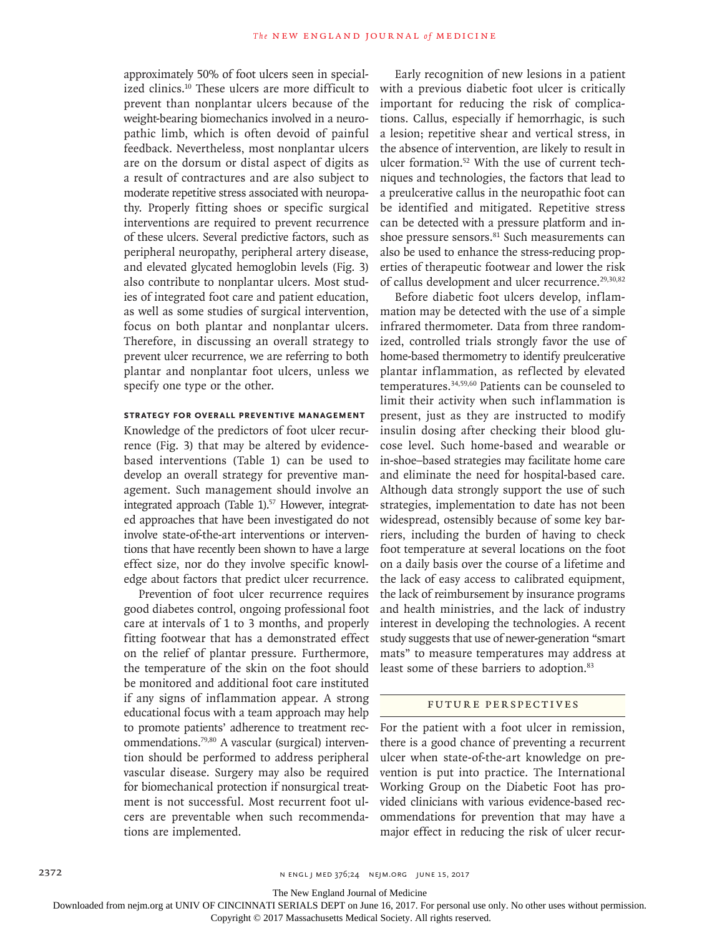approximately 50% of foot ulcers seen in specialized clinics.10 These ulcers are more difficult to prevent than nonplantar ulcers because of the weight-bearing biomechanics involved in a neuropathic limb, which is often devoid of painful feedback. Nevertheless, most nonplantar ulcers are on the dorsum or distal aspect of digits as a result of contractures and are also subject to moderate repetitive stress associated with neuropathy. Properly fitting shoes or specific surgical interventions are required to prevent recurrence of these ulcers. Several predictive factors, such as peripheral neuropathy, peripheral artery disease, and elevated glycated hemoglobin levels (Fig. 3) also contribute to nonplantar ulcers. Most studies of integrated foot care and patient education, as well as some studies of surgical intervention, focus on both plantar and nonplantar ulcers. Therefore, in discussing an overall strategy to prevent ulcer recurrence, we are referring to both plantar and nonplantar foot ulcers, unless we specify one type or the other.

## **Strategy for Overall Preventive Management**

Knowledge of the predictors of foot ulcer recurrence (Fig. 3) that may be altered by evidencebased interventions (Table 1) can be used to develop an overall strategy for preventive management. Such management should involve an integrated approach (Table 1).<sup>57</sup> However, integrated approaches that have been investigated do not involve state-of-the-art interventions or interventions that have recently been shown to have a large effect size, nor do they involve specific knowledge about factors that predict ulcer recurrence.

Prevention of foot ulcer recurrence requires good diabetes control, ongoing professional foot care at intervals of 1 to 3 months, and properly fitting footwear that has a demonstrated effect on the relief of plantar pressure. Furthermore, the temperature of the skin on the foot should be monitored and additional foot care instituted if any signs of inflammation appear. A strong educational focus with a team approach may help to promote patients' adherence to treatment recommendations.79,80 A vascular (surgical) intervention should be performed to address peripheral vascular disease. Surgery may also be required for biomechanical protection if nonsurgical treatment is not successful. Most recurrent foot ulcers are preventable when such recommendations are implemented.

Early recognition of new lesions in a patient with a previous diabetic foot ulcer is critically important for reducing the risk of complications. Callus, especially if hemorrhagic, is such a lesion; repetitive shear and vertical stress, in the absence of intervention, are likely to result in ulcer formation.<sup>52</sup> With the use of current techniques and technologies, the factors that lead to a preulcerative callus in the neuropathic foot can be identified and mitigated. Repetitive stress can be detected with a pressure platform and inshoe pressure sensors.<sup>81</sup> Such measurements can also be used to enhance the stress-reducing properties of therapeutic footwear and lower the risk of callus development and ulcer recurrence.<sup>29,30,82</sup>

Before diabetic foot ulcers develop, inflammation may be detected with the use of a simple infrared thermometer. Data from three randomized, controlled trials strongly favor the use of home-based thermometry to identify preulcerative plantar inflammation, as reflected by elevated temperatures.34,59,60 Patients can be counseled to limit their activity when such inflammation is present, just as they are instructed to modify insulin dosing after checking their blood glucose level. Such home-based and wearable or in-shoe–based strategies may facilitate home care and eliminate the need for hospital-based care. Although data strongly support the use of such strategies, implementation to date has not been widespread, ostensibly because of some key barriers, including the burden of having to check foot temperature at several locations on the foot on a daily basis over the course of a lifetime and the lack of easy access to calibrated equipment, the lack of reimbursement by insurance programs and health ministries, and the lack of industry interest in developing the technologies. A recent study suggests that use of newer-generation "smart mats" to measure temperatures may address at least some of these barriers to adoption.<sup>83</sup>

### Future Perspectives

For the patient with a foot ulcer in remission, there is a good chance of preventing a recurrent ulcer when state-of-the-art knowledge on prevention is put into practice. The International Working Group on the Diabetic Foot has provided clinicians with various evidence-based recommendations for prevention that may have a major effect in reducing the risk of ulcer recur-

The New England Journal of Medicine

Downloaded from nejm.org at UNIV OF CINCINNATI SERIALS DEPT on June 16, 2017. For personal use only. No other uses without permission.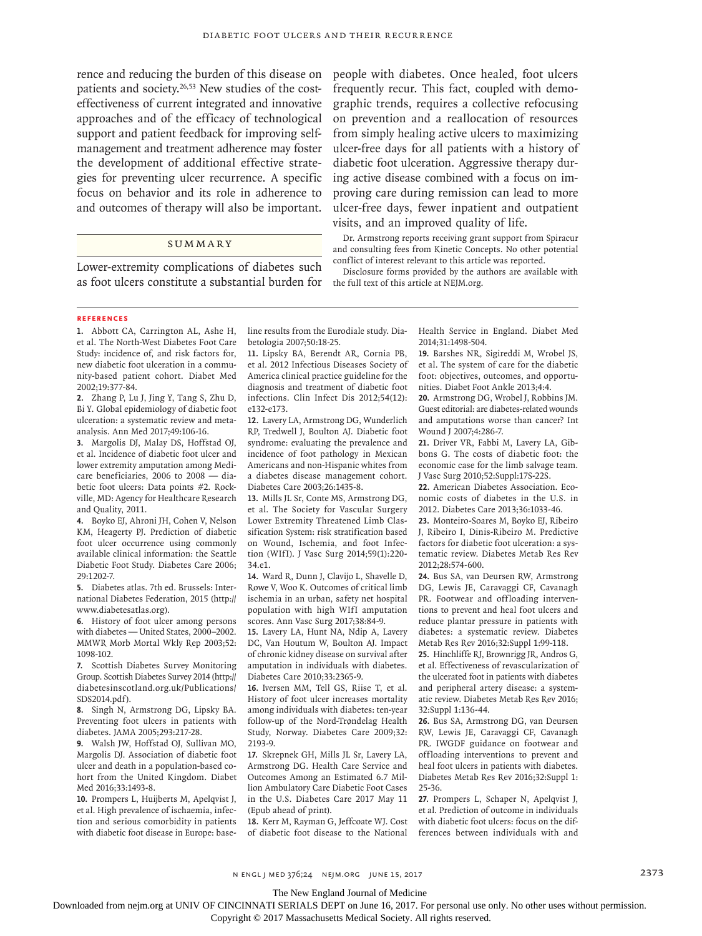patients and society.<sup>26,53</sup> New studies of the costeffectiveness of current integrated and innovative approaches and of the efficacy of technological support and patient feedback for improving selfmanagement and treatment adherence may foster the development of additional effective strategies for preventing ulcer recurrence. A specific focus on behavior and its role in adherence to and outcomes of therapy will also be important.

# **SUMMARY**

Lower-extremity complications of diabetes such as foot ulcers constitute a substantial burden for

rence and reducing the burden of this disease on people with diabetes. Once healed, foot ulcers frequently recur. This fact, coupled with demographic trends, requires a collective refocusing on prevention and a reallocation of resources from simply healing active ulcers to maximizing ulcer-free days for all patients with a history of diabetic foot ulceration. Aggressive therapy during active disease combined with a focus on improving care during remission can lead to more ulcer-free days, fewer inpatient and outpatient visits, and an improved quality of life.

> Dr. Armstrong reports receiving grant support from Spiracur and consulting fees from Kinetic Concepts. No other potential conflict of interest relevant to this article was reported.

> Disclosure forms provided by the authors are available with the full text of this article at NEJM.org.

#### **References**

**1.** Abbott CA, Carrington AL, Ashe H, et al. The North-West Diabetes Foot Care Study: incidence of, and risk factors for, new diabetic foot ulceration in a community-based patient cohort. Diabet Med 2002;19:377-84.

**2.** Zhang P, Lu J, Jing Y, Tang S, Zhu D, Bi Y. Global epidemiology of diabetic foot ulceration: a systematic review and metaanalysis. Ann Med 2017;49:106-16.

**3.** Margolis DJ, Malay DS, Hoffstad OJ, et al. Incidence of diabetic foot ulcer and lower extremity amputation among Medicare beneficiaries, 2006 to 2008 — diabetic foot ulcers: Data points #2. Rockville, MD: Agency for Healthcare Research and Quality, 2011.

**4.** Boyko EJ, Ahroni JH, Cohen V, Nelson KM, Heagerty PJ. Prediction of diabetic foot ulcer occurrence using commonly available clinical information: the Seattle Diabetic Foot Study. Diabetes Care 2006; 29:1202-7.

**5.** Diabetes atlas. 7th ed. Brussels: International Diabetes Federation, 2015 (http:// www.diabetesatlas.org).

**6.** History of foot ulcer among persons with diabetes — United States, 2000–2002. MMWR Morb Mortal Wkly Rep 2003;52: 1098-102.

**7.** Scottish Diabetes Survey Monitoring Group. Scottish Diabetes Survey 2014 (http:// diabetesinscotland.org.uk/Publications/ SDS2014.pdf).

**8.** Singh N, Armstrong DG, Lipsky BA. Preventing foot ulcers in patients with diabetes. JAMA 2005;293:217-28.

**9.** Walsh JW, Hoffstad OJ, Sullivan MO, Margolis DJ. Association of diabetic foot ulcer and death in a population-based cohort from the United Kingdom. Diabet Med 2016;33:1493-8.

**10.** Prompers L, Huijberts M, Apelqvist J, et al. High prevalence of ischaemia, infection and serious comorbidity in patients with diabetic foot disease in Europe: baseline results from the Eurodiale study. Diabetologia 2007;50:18-25.

**11.** Lipsky BA, Berendt AR, Cornia PB, et al. 2012 Infectious Diseases Society of America clinical practice guideline for the diagnosis and treatment of diabetic foot infections. Clin Infect Dis 2012;54(12): e132-e173.

**12.** Lavery LA, Armstrong DG, Wunderlich RP, Tredwell J, Boulton AJ. Diabetic foot syndrome: evaluating the prevalence and incidence of foot pathology in Mexican Americans and non-Hispanic whites from a diabetes disease management cohort. Diabetes Care 2003;26:1435-8.

**13.** Mills JL Sr, Conte MS, Armstrong DG, et al. The Society for Vascular Surgery Lower Extremity Threatened Limb Classification System: risk stratification based on Wound, Ischemia, and foot Infection (WIfI). J Vasc Surg 2014;59(1):220- 34.e1.

**14.** Ward R, Dunn J, Clavijo L, Shavelle D, Rowe V, Woo K. Outcomes of critical limb ischemia in an urban, safety net hospital population with high WIfI amputation scores. Ann Vasc Surg 2017;38:84-9.

**15.** Lavery LA, Hunt NA, Ndip A, Lavery DC, Van Houtum W, Boulton AJ. Impact of chronic kidney disease on survival after amputation in individuals with diabetes. Diabetes Care 2010;33:2365-9.

**16.** Iversen MM, Tell GS, Riise T, et al. History of foot ulcer increases mortality among individuals with diabetes: ten-year follow-up of the Nord-Trøndelag Health Study, Norway. Diabetes Care 2009;32: 2193-9.

**17.** Skrepnek GH, Mills JL Sr, Lavery LA, Armstrong DG. Health Care Service and Outcomes Among an Estimated 6.7 Million Ambulatory Care Diabetic Foot Cases in the U.S. Diabetes Care 2017 May 11 (Epub ahead of print).

**18.** Kerr M, Rayman G, Jeffcoate WJ. Cost of diabetic foot disease to the National Health Service in England. Diabet Med 2014;31:1498-504.

**19.** Barshes NR, Sigireddi M, Wrobel JS, et al. The system of care for the diabetic foot: objectives, outcomes, and opportunities. Diabet Foot Ankle 2013;4:4.

**20.** Armstrong DG, Wrobel J, Robbins JM. Guest editorial: are diabetes-related wounds and amputations worse than cancer? Int Wound J 2007;4:286-7.

**21.** Driver VR, Fabbi M, Lavery LA, Gibbons G. The costs of diabetic foot: the economic case for the limb salvage team. J Vasc Surg 2010;52:Suppl:17S-22S.

**22.** American Diabetes Association. Economic costs of diabetes in the U.S. in 2012. Diabetes Care 2013;36:1033-46.

**23.** Monteiro-Soares M, Boyko EJ, Ribeiro J, Ribeiro I, Dinis-Ribeiro M. Predictive factors for diabetic foot ulceration: a systematic review. Diabetes Metab Res Rev 2012;28:574-600.

**24.** Bus SA, van Deursen RW, Armstrong DG, Lewis JE, Caravaggi CF, Cavanagh PR. Footwear and offloading interventions to prevent and heal foot ulcers and reduce plantar pressure in patients with diabetes: a systematic review. Diabetes Metab Res Rev 2016;32:Suppl 1:99-118.

**25.** Hinchliffe RJ, Brownrigg JR, Andros G, et al. Effectiveness of revascularization of the ulcerated foot in patients with diabetes and peripheral artery disease: a systematic review. Diabetes Metab Res Rev 2016; 32:Suppl 1:136-44.

**26.** Bus SA, Armstrong DG, van Deursen RW, Lewis JE, Caravaggi CF, Cavanagh PR. IWGDF guidance on footwear and offloading interventions to prevent and heal foot ulcers in patients with diabetes. Diabetes Metab Res Rev 2016;32:Suppl 1: 25-36.

**27.** Prompers L, Schaper N, Apelqvist J, et al. Prediction of outcome in individuals with diabetic foot ulcers: focus on the differences between individuals with and

n engl j med 376;24 nejm.org June 15, 2017 2373

The New England Journal of Medicine

Downloaded from nejm.org at UNIV OF CINCINNATI SERIALS DEPT on June 16, 2017. For personal use only. No other uses without permission.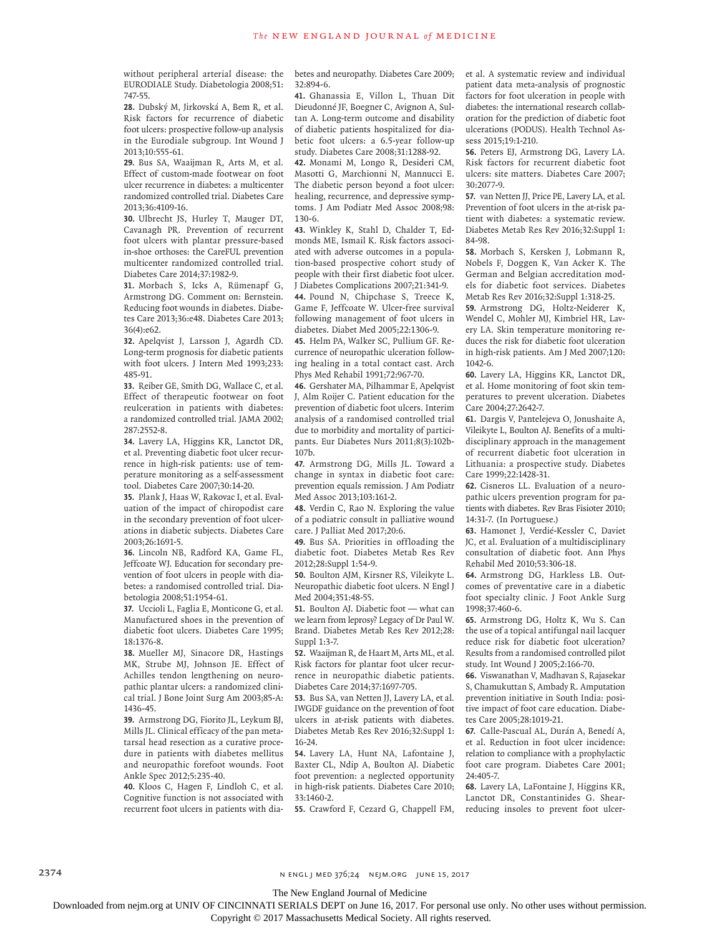without peripheral arterial disease: the EURODIALE Study. Diabetologia 2008;51: 747-55.

**28.** Dubský M, Jirkovská A, Bem R, et al. Risk factors for recurrence of diabetic foot ulcers: prospective follow-up analysis in the Eurodiale subgroup. Int Wound J 2013;10:555-61.

**29.** Bus SA, Waaijman R, Arts M, et al. Effect of custom-made footwear on foot ulcer recurrence in diabetes: a multicenter randomized controlled trial. Diabetes Care 2013;36:4109-16.

**30.** Ulbrecht JS, Hurley T, Mauger DT, Cavanagh PR. Prevention of recurrent foot ulcers with plantar pressure-based in-shoe orthoses: the CareFUL prevention multicenter randomized controlled trial. Diabetes Care 2014;37:1982-9.

**31.** Morbach S, Icks A, Rümenapf G, Armstrong DG. Comment on: Bernstein. Reducing foot wounds in diabetes. Diabetes Care 2013;36:e48. Diabetes Care 2013; 36(4):e62.

**32.** Apelqvist J, Larsson J, Agardh CD. Long-term prognosis for diabetic patients with foot ulcers. J Intern Med 1993;233: 485-91.

**33.** Reiber GE, Smith DG, Wallace C, et al. Effect of therapeutic footwear on foot reulceration in patients with diabetes: a randomized controlled trial. JAMA 2002; 287:2552-8.

**34.** Lavery LA, Higgins KR, Lanctot DR, et al. Preventing diabetic foot ulcer recurrence in high-risk patients: use of temperature monitoring as a self-assessment tool. Diabetes Care 2007;30:14-20.

**35.** Plank J, Haas W, Rakovac I, et al. Evaluation of the impact of chiropodist care in the secondary prevention of foot ulcerations in diabetic subjects. Diabetes Care 2003;26:1691-5.

**36.** Lincoln NB, Radford KA, Game FL, Jeffcoate WJ. Education for secondary prevention of foot ulcers in people with diabetes: a randomised controlled trial. Diabetologia 2008;51:1954-61.

**37.** Uccioli L, Faglia E, Monticone G, et al. Manufactured shoes in the prevention of diabetic foot ulcers. Diabetes Care 1995; 18:1376-8.

**38.** Mueller MJ, Sinacore DR, Hastings MK, Strube MJ, Johnson JE. Effect of Achilles tendon lengthening on neuropathic plantar ulcers: a randomized clinical trial. J Bone Joint Surg Am 2003;85-A: 1436-45.

**39.** Armstrong DG, Fiorito JL, Leykum BJ, Mills JL. Clinical efficacy of the pan metatarsal head resection as a curative procedure in patients with diabetes mellitus and neuropathic forefoot wounds. Foot Ankle Spec 2012;5:235-40.

**40.** Kloos C, Hagen F, Lindloh C, et al. Cognitive function is not associated with recurrent foot ulcers in patients with diabetes and neuropathy. Diabetes Care 2009; 32:894-6.

**41.** Ghanassia E, Villon L, Thuan Dit Dieudonné JF, Boegner C, Avignon A, Sultan A. Long-term outcome and disability of diabetic patients hospitalized for diabetic foot ulcers: a 6.5-year follow-up study. Diabetes Care 2008;31:1288-92.

**42.** Monami M, Longo R, Desideri CM, Masotti G, Marchionni N, Mannucci E. The diabetic person beyond a foot ulcer: healing, recurrence, and depressive symptoms. J Am Podiatr Med Assoc 2008;98: 130-6.

**43.** Winkley K, Stahl D, Chalder T, Edmonds ME, Ismail K. Risk factors associated with adverse outcomes in a population-based prospective cohort study of people with their first diabetic foot ulcer. J Diabetes Complications 2007;21:341-9.

**44.** Pound N, Chipchase S, Treece K, Game F, Jeffcoate W. Ulcer-free survival following management of foot ulcers in diabetes. Diabet Med 2005;22:1306-9.

**45.** Helm PA, Walker SC, Pullium GF. Recurrence of neuropathic ulceration following healing in a total contact cast. Arch Phys Med Rehabil 1991;72:967-70.

**46.** Gershater MA, Pilhammar E, Apelqvist J, Alm Roijer C. Patient education for the prevention of diabetic foot ulcers. Interim analysis of a randomised controlled trial due to morbidity and mortality of participants. Eur Diabetes Nurs 2011;8(3):102b-107b.

**47.** Armstrong DG, Mills JL. Toward a change in syntax in diabetic foot care: prevention equals remission. J Am Podiatr Med Assoc 2013;103:161-2.

**48.** Verdin C, Rao N. Exploring the value of a podiatric consult in palliative wound care. J Palliat Med 2017;20:6.

**49.** Bus SA. Priorities in offloading the diabetic foot. Diabetes Metab Res Rev 2012;28:Suppl 1:54-9.

**50.** Boulton AJM, Kirsner RS, Vileikyte L. Neuropathic diabetic foot ulcers. N Engl J Med 2004;351:48-55.

**51.** Boulton AJ. Diabetic foot — what can we learn from leprosy? Legacy of Dr Paul W. Brand. Diabetes Metab Res Rev 2012;28: Suppl 1:3-7.

**52.** Waaijman R, de Haart M, Arts ML, et al. Risk factors for plantar foot ulcer recurrence in neuropathic diabetic patients. Diabetes Care 2014;37:1697-705.

**53.** Bus SA, van Netten JJ, Lavery LA, et al. IWGDF guidance on the prevention of foot ulcers in at-risk patients with diabetes. Diabetes Metab Res Rev 2016;32:Suppl 1: 16-24.

**54.** Lavery LA, Hunt NA, Lafontaine J, Baxter CL, Ndip A, Boulton AJ. Diabetic foot prevention: a neglected opportunity in high-risk patients. Diabetes Care 2010; 33:1460-2.

**55.** Crawford F, Cezard G, Chappell FM,

et al. A systematic review and individual patient data meta-analysis of prognostic factors for foot ulceration in people with diabetes: the international research collaboration for the prediction of diabetic foot ulcerations (PODUS). Health Technol Assess 2015;19:1-210.

**56.** Peters EJ, Armstrong DG, Lavery LA. Risk factors for recurrent diabetic foot ulcers: site matters. Diabetes Care 2007; 30:2077-9.

**57.** van Netten JJ, Price PE, Lavery LA, et al. Prevention of foot ulcers in the at-risk patient with diabetes: a systematic review. Diabetes Metab Res Rev 2016;32:Suppl 1: 84-98.

**58.** Morbach S, Kersken J, Lobmann R, Nobels F, Doggen K, Van Acker K. The German and Belgian accreditation models for diabetic foot services. Diabetes Metab Res Rev 2016;32:Suppl 1:318-25.

**59.** Armstrong DG, Holtz-Neiderer K, Wendel C, Mohler MJ, Kimbriel HR, Lavery LA. Skin temperature monitoring reduces the risk for diabetic foot ulceration in high-risk patients. Am J Med 2007;120: 1042-6.

**60.** Lavery LA, Higgins KR, Lanctot DR, et al. Home monitoring of foot skin temperatures to prevent ulceration. Diabetes Care 2004;27:2642-7.

**61.** Dargis V, Pantelejeva O, Jonushaite A, Vileikyte L, Boulton AJ. Benefits of a multidisciplinary approach in the management of recurrent diabetic foot ulceration in Lithuania: a prospective study. Diabetes Care 1999;22:1428-31.

**62.** Cisneros LL. Evaluation of a neuropathic ulcers prevention program for patients with diabetes. Rev Bras Fisioter 2010; 14:31-7. (In Portuguese.)

**63.** Hamonet J, Verdié-Kessler C, Daviet JC, et al. Evaluation of a multidisciplinary consultation of diabetic foot. Ann Phys Rehabil Med 2010;53:306-18.

**64.** Armstrong DG, Harkless LB. Outcomes of preventative care in a diabetic foot specialty clinic. J Foot Ankle Surg 1998;37:460-6.

**65.** Armstrong DG, Holtz K, Wu S. Can the use of a topical antifungal nail lacquer reduce risk for diabetic foot ulceration? Results from a randomised controlled pilot study. Int Wound J 2005;2:166-70.

**66.** Viswanathan V, Madhavan S, Rajasekar S, Chamukuttan S, Ambady R. Amputation prevention initiative in South India: positive impact of foot care education. Diabetes Care 2005;28:1019-21.

**67.** Calle-Pascual AL, Durán A, Benedí A, et al. Reduction in foot ulcer incidence: relation to compliance with a prophylactic foot care program. Diabetes Care 2001; 24:405-7.

**68.** Lavery LA, LaFontaine J, Higgins KR, Lanctot DR, Constantinides G. Shearreducing insoles to prevent foot ulcer-

2374 **NENGL JUNE 2376;24 NEIM.ORG JUNE 15, 2017** 

The New England Journal of Medicine

Downloaded from nejm.org at UNIV OF CINCINNATI SERIALS DEPT on June 16, 2017. For personal use only. No other uses without permission.